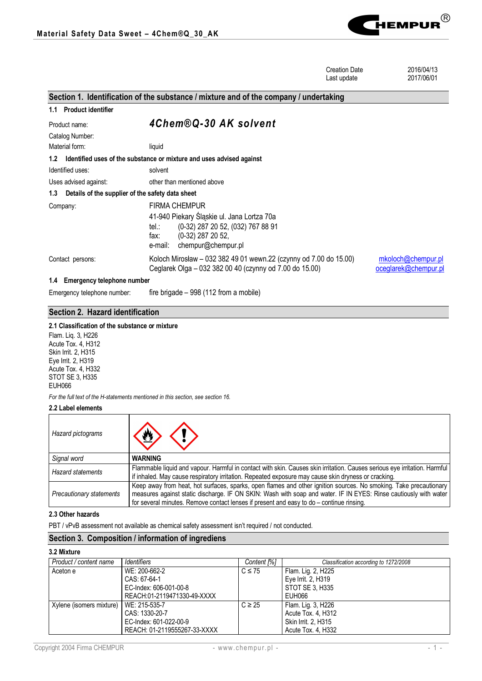

|                                                         | <b>Creation Date</b><br>Last update                                                                                                                      | 2016/04/13<br>2017/06/01                   |  |  |
|---------------------------------------------------------|----------------------------------------------------------------------------------------------------------------------------------------------------------|--------------------------------------------|--|--|
|                                                         | Section 1. Identification of the substance / mixture and of the company / undertaking                                                                    |                                            |  |  |
| 1.1 Product identifier                                  |                                                                                                                                                          |                                            |  |  |
| Product name:                                           | 4Chem®Q-30 AK solvent                                                                                                                                    |                                            |  |  |
| Catalog Number:                                         |                                                                                                                                                          |                                            |  |  |
| Material form:                                          | liquid                                                                                                                                                   |                                            |  |  |
| 1.2                                                     | Identified uses of the substance or mixture and uses advised against                                                                                     |                                            |  |  |
| Identified uses:                                        | solvent                                                                                                                                                  |                                            |  |  |
| Uses advised against:                                   | other than mentioned above                                                                                                                               |                                            |  |  |
| Details of the supplier of the safety data sheet<br>1.3 |                                                                                                                                                          |                                            |  |  |
| Company:                                                | <b>FIRMA CHEMPUR</b>                                                                                                                                     |                                            |  |  |
|                                                         | 41-940 Piekary Śląskie ul. Jana Lortza 70a<br>(0-32) 287 20 52, (032) 767 88 91<br>tel.:<br>$(0-32)$ 287 20 52,<br>fax:<br>chempur@chempur.pl<br>e-mail: |                                            |  |  |
| Contact persons:                                        | Koloch Mirosław – 032 382 49 01 wewn.22 (czynny od 7.00 do 15.00)<br>Ceglarek Olga – 032 382 00 40 (czynny od 7.00 do 15.00)                             | mkoloch@chempur.pl<br>oceglarek@chempur.pl |  |  |
| 1.4 Emergency telephone number                          |                                                                                                                                                          |                                            |  |  |
| Emergency telephone number:                             | fire brigade – 998 (112 from a mobile)                                                                                                                   |                                            |  |  |

# **Section 2. Hazard identification**

# **2.1 Classification of the substance or mixture**

Flam. Liq. 3, H226 Acute Tox. 4, H312 Skin Irrit. 2, H315 Eye Irrit. 2, H319 Acute Tox. 4, H332 STOT SE 3, H335 EUH066

*For the full text of the H-statements mentioned in this section, see section 16.*

# **2.2 Label elements**

| Hazard pictograms               | $\langle \psi \rangle$                                                                                                                                                                                                                                                                                                            |
|---------------------------------|-----------------------------------------------------------------------------------------------------------------------------------------------------------------------------------------------------------------------------------------------------------------------------------------------------------------------------------|
| Signal word                     | <b>WARNING</b>                                                                                                                                                                                                                                                                                                                    |
| <b>Hazard statements</b>        | Flammable liquid and vapour. Harmful in contact with skin. Causes skin irritation. Causes serious eve irritation. Harmful<br>if inhaled. May cause respiratory irritation. Repeated exposure may cause skin dryness or cracking.                                                                                                  |
| <b>Precautionary statements</b> | Keep away from heat, hot surfaces, sparks, open flames and other ignition sources. No smoking. Take precautionary<br>measures against static discharge. IF ON SKIN: Wash with soap and water. IF IN EYES: Rinse cautiously with water<br>for several minutes. Remove contact lenses if present and easy to do - continue rinsing. |

## **2.3 Other hazards**

PBT / vPvB assessment not available as chemical safety assessment isn't required / not conducted.

# **Section 3. Composition / information of ingrediens**

**3.2 Mixture**

| Product / content name                   | Identifiers                  | Content <sup>[%]</sup> | Classification according to 1272/2008 |
|------------------------------------------|------------------------------|------------------------|---------------------------------------|
| Aceton e                                 | WE: 200-662-2                | $C \leq 75$            | Flam. Lig. 2, H225                    |
|                                          | CAS: 67-64-1                 |                        | Eye Irrit. 2, H319                    |
|                                          | EC-Index: 606-001-00-8       |                        | STOT SE 3, H335                       |
|                                          | REACH:01-2119471330-49-XXXX  |                        | EUH066                                |
| Xylene (isomers mixture)   WE: 215-535-7 |                              | $C \geq 25$            | Flam. Lig. 3, H226                    |
|                                          | CAS: 1330-20-7               |                        | Acute Tox. 4, H312                    |
|                                          | EC-Index: 601-022-00-9       |                        | Skin Irrit. 2, H315                   |
|                                          | REACH: 01-2119555267-33-XXXX |                        | Acute Tox. 4, H332                    |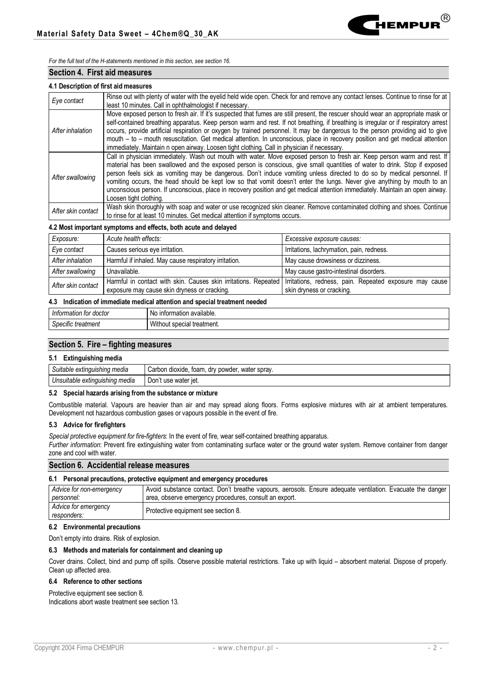

*For the full text of the H-statements mentioned in this section, see section 16.*

### **Section 4. First aid measures**

### **4.1 Description of first aid measures**

| Eye contact        | Rinse out with plenty of water with the eyelid held wide open. Check for and remove any contact lenses. Continue to rinse for at<br>least 10 minutes. Call in ophthalmologist if necessary.                                                                                                                                                                                                                                                                                                                                                                                                                                                                             |
|--------------------|-------------------------------------------------------------------------------------------------------------------------------------------------------------------------------------------------------------------------------------------------------------------------------------------------------------------------------------------------------------------------------------------------------------------------------------------------------------------------------------------------------------------------------------------------------------------------------------------------------------------------------------------------------------------------|
| After inhalation   | Move exposed person to fresh air. If it's suspected that fumes are still present, the rescuer should wear an appropriate mask or<br>self-contained breathing apparatus. Keep person warm and rest. If not breathing, if breathing is irregular or if respiratory arrest<br>occurs, provide artificial respiration or oxygen by trained personnel. It may be dangerous to the person providing aid to give<br>mouth - to - mouth resuscitation. Get medical attention. In unconscious, place in recovery position and get medical attention<br>immediately. Maintain n open airway. Loosen tight clothing. Call in physician if necessary.                               |
| After swallowing   | Call in physician immediately. Wash out mouth with water. Move exposed person to fresh air. Keep person warm and rest. If<br>material has been swallowed and the exposed person is conscious, give small quantities of water to drink. Stop if exposed<br>person feels sick as vomiting may be dangerous. Don't induce vomiting unless directed to do so by medical personnel. If<br>vomiting occurs, the head should be kept low so that vomit doesn't enter the lungs. Never give anything by mouth to an<br>unconscious person. If unconscious, place in recovery position and get medical attention immediately. Maintain an open airway.<br>Loosen tight clothing. |
| After skin contact | Wash skin thoroughly with soap and water or use recognized skin cleaner. Remove contaminated clothing and shoes. Continue<br>to rinse for at least 10 minutes. Get medical attention if symptoms occurs.                                                                                                                                                                                                                                                                                                                                                                                                                                                                |

### **4.2 Most important symptoms and effects, both acute and delayed**

| Exposure:          | Acute health effects:                                                                                                                                                     | Excessive exposure causes:                |  |  |
|--------------------|---------------------------------------------------------------------------------------------------------------------------------------------------------------------------|-------------------------------------------|--|--|
| Eye contact        | Causes serious eye irritation.                                                                                                                                            | Irritations, lachrymation, pain, redness. |  |  |
| After inhalation   | Harmful if inhaled. May cause respiratory irritation.                                                                                                                     | May cause drowsiness or dizziness.        |  |  |
| After swallowing   | Unavailable.                                                                                                                                                              | May cause gastro-intestinal disorders.    |  |  |
| After skin contact | Harmful in contact with skin. Causes skin irritations. Repeated   Irritations, redness, pain. Repeated exposure may cause<br>exposure may cause skin dryness or cracking. | skin dryness or cracking.                 |  |  |

#### **4.3 Indication of immediate medical attention and special treatment needed**

| doctor             | າ available.                                                              |
|--------------------|---------------------------------------------------------------------------|
| rmatıon            | prmation                                                                  |
| Intorm             | 'ntor.                                                                    |
| ı tor-             | <b>NO</b>                                                                 |
| Specific treatment | Withou <sup>+</sup><br>l treatment.<br>n <sub>n</sub><br><b>SUCC</b><br>. |

# **Section 5. Fire – fighting measures**

## **5.1 Extinguishing media**

| Suitable extinguishing media   | Carbon dioxide, foam,<br>, dry powder,<br>water spray. |
|--------------------------------|--------------------------------------------------------|
| Unsuitable extinguishing media | Don't use water jet.                                   |

## **5.2 Special hazards arising from the substance or mixture**

Combustible material. Vapours are heavier than air and may spread along floors. Forms explosive mixtures with air at ambient temperatures. Development not hazardous combustion gases or vapours possible in the event of fire.

### **5.3 Advice for firefighters**

*Special protective equipment for fire-fighters*: In the event of fire, wear self-contained breathing apparatus.

*Further information*: Prevent fire extinguishing water from contaminating surface water or the ground water system. Remove container from danger zone and cool with water.

## **Section 6. Accidential release measures**

### **6.1 Personal precautions, protective equipment and emergency procedures**

| Advice for non-emergency            | Avoid substance contact. Don't breathe vapours, aerosols. Ensure adequate ventilation. Evacuate the danger |  |  |  |
|-------------------------------------|------------------------------------------------------------------------------------------------------------|--|--|--|
| personnel:                          | area, observe emergency procedures, consult an export.                                                     |  |  |  |
| Advice for emergency<br>responders: | Protective equipment see section 8.                                                                        |  |  |  |

### **6.2 Environmental precautions**

Don't empty into drains. Risk of explosion.

### **6.3 Methods and materials for containment and cleaning up**

Cover drains. Collect, bind and pump off spills. Observe possible material restrictions. Take up with liquid – absorbent material. Dispose of properly. Clean up affected area.

## **6.4 Reference to other sections**

Protective equipment see section 8.

Indications abort waste treatment see section 13.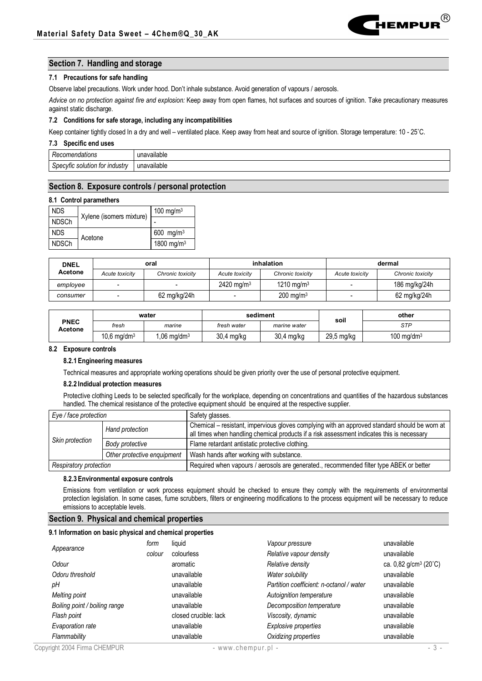

## **Section 7. Handling and storage**

### **7.1 Precautions for safe handling**

Observe label precautions. Work under hood. Don't inhale substance. Avoid generation of vapours / aerosols.

*Advice on no protection against fire and explosion:* Keep away from open flames, hot surfaces and sources of ignition. Take precautionary measures against static discharge.

### **7.2 Conditions for safe storage, including any incompatibilities**

Keep container tightly closed In a dry and well – ventilated place. Keep away from heat and source of ignition. Storage temperature: 10 - 25˚C.

#### **7.3 Specific end uses**

| endations      |              |
|----------------|--------------|
| πь.            | /ailable     |
| .              | $\sum$       |
| וסו            | ы            |
| tor            |              |
| ∵industrv      | iavailable   |
| solution       | $\mathbf{m}$ |
| outic -        | . .          |
| Jv.            | .            |
| $\overline{ }$ |              |

### **Section 8. Exposure controls / personal protection**

### **8.1 Control paramethers**

| <b>NDS</b>   | Xylene (isomers mixture) | 100 mg/m $3$           |  |
|--------------|--------------------------|------------------------|--|
| <b>NDSCh</b> |                          |                        |  |
| <b>NDS</b>   | Acetone                  | 600 mg/m <sup>3</sup>  |  |
| <b>NDSCh</b> |                          | 1800 mg/m <sup>3</sup> |  |

| <b>DNEL</b> | oral           |                  | inhalation            |                        | dermal                   |                  |
|-------------|----------------|------------------|-----------------------|------------------------|--------------------------|------------------|
| Acetone     | Acute toxicity | Chronic toxicity | Acute toxicity        | Chronic toxicity       | Acute toxicity           | Chronic toxicity |
| employee    |                |                  | $2420 \text{ ma/m}^3$ | 1210 mg/m <sup>3</sup> | $\overline{\phantom{0}}$ | 186 mg/kg/24h    |
| consumer    |                | 62 mg/kg/24h     |                       | $200 \text{ ma/m}^3$   |                          | 62 mg/kg/24h     |

|                        | water                     |                       | sediment    |              | soil       | other         |
|------------------------|---------------------------|-----------------------|-------------|--------------|------------|---------------|
| <b>PNEC</b><br>Acetone | fresh                     | marine                | fresh water | marine water |            | STP           |
|                        | $10,6$ mg/dm <sup>3</sup> | $.06 \text{ mg/dm}^3$ | 30,4 mg/kg  | 30,4 mg/kg   | 29,5 mg/kg | 100 mg/dm $3$ |

#### **8.2 Exposure controls**

#### **8.2.1 Engineering measures**

Technical measures and appropriate working operations should be given priority over the use of personal protective equipment.

### **8.2.2 Indidual protection measures**

Protective clothing Leeds to be selected specifically for the workplace, depending on concentrations and quantities of the hazardous substances handled. The chemical resistance of the protective equipment should be enquired at the respective supplier.

| Eye / face protection  |                             | Safety glasses.                                                                                                                                                                             |
|------------------------|-----------------------------|---------------------------------------------------------------------------------------------------------------------------------------------------------------------------------------------|
| Skin protection        | Hand protection             | Chemical - resistant, impervious gloves complying with an approved standard should be worn at<br>all times when handling chemical products if a risk assessment indicates this is necessary |
|                        | Body protective             | Flame retardant antistatic protective clothing.                                                                                                                                             |
|                        | Other protective enquipment | Wash hands after working with substance.                                                                                                                                                    |
| Respiratory protection |                             | Required when vapours / aerosols are generated., recommended filter type ABEK or better                                                                                                     |

### **8.2.3 Environmental exposure controls**

Emissions from ventilation or work process equipment should be checked to ensure they comply with the requirements of environmental protection legislation. In some cases, fume scrubbers, filters or engineering modifications to the process equipment will be necessary to reduce emissions to acceptable levels.

### **Section 9. Physical and chemical properties**

#### **9.1 Information on basic physical and chemical properties**

|                               | form   | liquid                | Vapour pressure                          | unavailable                       |
|-------------------------------|--------|-----------------------|------------------------------------------|-----------------------------------|
| Appearance                    | colour | colourless            | Relative vapour density                  | unavailable                       |
| Odour                         |        | aromatic              | Relative density                         | ca. 0,82 g/cm <sup>3</sup> (20°C) |
| Odoru threshold               |        | unavailable           | Water solubility                         | unavailable                       |
| pН                            |        | unavailable           | Partition coefficient: n-octanol / water | unavailable                       |
| <b>Melting point</b>          |        | unavailable           | Autoignition temperature                 | unavailable                       |
| Boiling point / boiling range |        | unavailable           | Decomposition temperature                | unavailable                       |
| Flash point                   |        | closed crucible: lack | Viscosity, dynamic                       | unavailable                       |
| Evaporation rate              |        | unavailable           | Explosive properties                     | unavailable                       |
| Flammability                  |        | unavailable           | Oxidizing properties                     | unavailable                       |
| Copyright 2004 Firma CHEMPUR  |        |                       | - www.chempur.pl -                       | $-3-$                             |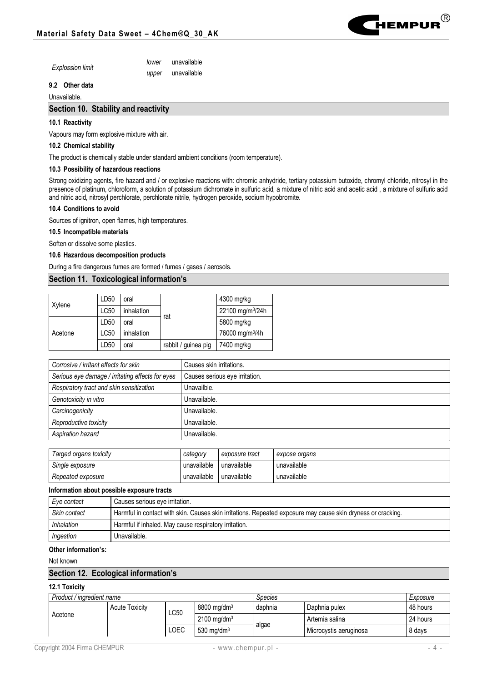

| <b>Explossion limit</b> | lower | unavailable |
|-------------------------|-------|-------------|
|                         | upper | unavailable |

# **9.2 Other data**

# Unavailable.

# **Section 10. Stability and reactivity**

## **10.1 Reactivity**

Vapours may form explosive mixture with air.

## **10.2 Chemical stability**

The product is chemically stable under standard ambient conditions (room temperature).

### **10.3 Possibility of hazardous reactions**

Strong oxidizing agents, fire hazard and / or explosive reactions with: chromic anhydride, tertiary potassium butoxide, chromyl chloride, nitrosyl in the presence of platinum, chloroform, a solution of potassium dichromate in sulfuric acid, a mixture of nitric acid and acetic acid , a mixture of sulfuric acid and nitric acid, nitrosyl perchlorate, perchlorate nitrile, hydrogen peroxide, sodium hypobromite.

## **10.4 Conditions to avoid**

Sources of ignitron, open flames, high temperatures.

## **10.5 Incompatible materials**

Soften or dissolve some plastics.

### **10.6 Hazardous decomposition products**

During a fire dangerous fumes are formed / fumes / gases / aerosols.

## **Section 11. Toxicological information's**

| Xylene  | LD50 | oral       |                     | 4300 mg/kg                   |
|---------|------|------------|---------------------|------------------------------|
|         | LC50 | inhalation |                     | 22100 mg/m <sup>3</sup> /24h |
| Acetone | LD50 | oral       | rat                 | 5800 mg/kg                   |
|         | LC50 | inhalation |                     | 76000 mg/m <sup>3</sup> /4h  |
|         | LD50 | oral       | rabbit / guinea pig | 7400 mg/kg                   |

| Corrosive / irritant effects for skin            | Causes skin irritations.       |
|--------------------------------------------------|--------------------------------|
| Serious eye damage / irritating effects for eyes | Causes serious eye irritation. |
| Respiratory tract and skin sensitization         | Unavailble.                    |
| Genotoxicity in vitro                            | Unavailable.                   |
| Carcinogenicity                                  | Unavailable.                   |
| Reproductive toxicity                            | Unavailable.                   |
| Aspiration hazard                                | Unavailable.                   |

| Targed organs toxicity | category    | exposure tract | expose organs |
|------------------------|-------------|----------------|---------------|
| Single exposure        | unavailable | unavailable    | unavailable   |
| Repeated exposure      | unavailable | unavailable    | unavailable   |

## **Information about possible exposure tracts**

| Eye contact  | Causes serious eye irritation.                                                                               |
|--------------|--------------------------------------------------------------------------------------------------------------|
| Skin contact | Harmful in contact with skin. Causes skin irritations. Repeated exposure may cause skin dryness or cracking. |
| Inhalation   | Harmful if inhaled. May cause respiratory irritation.                                                        |
| Ingestion    | Unavailable.                                                                                                 |

## **Other information's:**

Not known

# **Section 12. Ecological information's**

# **12.1 Toxicity**

| Product / ingredient name |                       |      | <i>Species</i>            |         | Exposure               |          |
|---------------------------|-----------------------|------|---------------------------|---------|------------------------|----------|
|                           | <b>Acute Toxicity</b> | LC50 | $8800$ mg/dm <sup>3</sup> | daphnia | Daphnia pulex          | 48 hours |
| Acetone                   |                       |      | $2100 \text{ ma/dm}^3$    |         | Artemia salina         | 24 hours |
|                           |                       | LOEC | 530 mg/dm $3$             | algae   | Microcystis aeruginosa | 8 days   |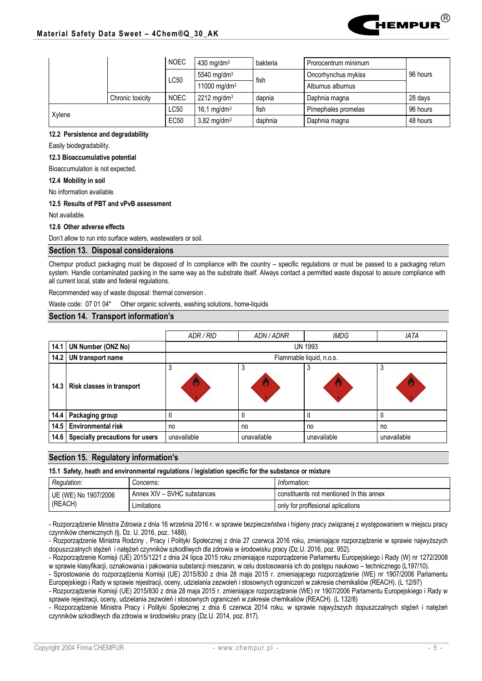

|  |        |                  |                          | 430 mg/dm $3$             | bakteria | Prorocentrum minimum |          |
|--|--------|------------------|--------------------------|---------------------------|----------|----------------------|----------|
|  |        |                  |                          | 5540 mg/dm $3$            | fish     | Oncorhynchus mykiss  | 96 hours |
|  |        |                  | $\mathsf{L}\mathsf{C}50$ | 11000 mg/dm <sup>3</sup>  |          | Alburnus alburnus    |          |
|  |        | Chronic toxicity |                          | $2212$ mg/dm <sup>3</sup> | dapnia   | Daphnia magna        | 28 days  |
|  | Xylene |                  | LC50                     | 16,1 mg/dm $3$            | fish     | Pimephales promelas  | 96 hours |
|  |        |                  | <b>EC50</b>              | $3,82$ mg/dm <sup>3</sup> | daphnia  | Daphnia magna        | 48 hours |

### **12.2 Persistence and degradability**

Easily biodegradability.

## **12.3 Bioaccumulative potential**

Bioaccumulation is not expected.

**12.4 Mobility in soil**

No information available.

## **12.5 Results of PBT and vPvB assessment**

Not available.

## **12.6 Other adverse effects**

Don't allow to run into surface waters, wastewaters or soil.

# **Section 13. Disposal consideraions**

Chempur product packaging must be disposed of In compliance with the country – specific regulations or must be passed to a packaging return system. Handle contaminated packing in the same way as the substrate itself. Always contact a permitted waste disposal to assure compliance with all current local, state and federal regulations.

Recommended way of waste disposal: thermal conversion .

Waste code: 07 01 04\* Other organic solvents, washing solutions, home-liquids

## **Section 14. Transport information's**

|      |                                 | ADR / RID                | ADN/ADNR    | <b>IMDG</b> | <b>IATA</b>  |  |
|------|---------------------------------|--------------------------|-------------|-------------|--------------|--|
| 14.1 | <b>UN Number (ONZ No)</b>       | <b>UN 1993</b>           |             |             |              |  |
| 14.2 | UN transport name               | Flammable liquid, n.o.s. |             |             |              |  |
|      | 14.3 Risk classes in transport  | w                        | J<br>w      | O           | ۰J<br>G      |  |
| 14.4 | Packaging group                 |                          |             |             | $\mathsf{I}$ |  |
| 14.5 | <b>Environmental risk</b>       | no                       | no          | no          | no           |  |
| 14.6 | Specially precautions for users | unavailable              | unavailable | unavailable | unavailable  |  |

## **Section 15. Regulatory information's**

**15.1 Safety, heath and environmental regulations / legislation specific for the substance or mixture**

| Regulation:          | <i>Concerns:</i>            | Information:                             |  |
|----------------------|-----------------------------|------------------------------------------|--|
| UE (WE) No 1907/2006 | Annex XIV - SVHC substances | constituents not mentioned In this annex |  |
| (REACH)              | Limitations                 | only for proffesional aplications        |  |

- Rozporządzenie Ministra Zdrowia z dnia 16 września 2016 r. w sprawie bezpieczeństwa i higieny pracy związanej z występowaniem w miejscu pracy czynników chemicznych (tj. Dz. U. 2016, poz. 1488).

- Rozporządzenie Ministra Rodziny , Pracy i Polityki Społecznej z dnia 27 czerwca 2016 roku, zmieniające rozporządzenie w sprawie najwyższych dopuszczalnych stężeń i natężeń czynników szkodliwych dla zdrowia w środowisku pracy (Dz.U. 2016, poz. 952).

- Rozporządzenie Komisji (UE) 2015/1221 z dnia 24 lipca 2015 roku zmieniające rozporządzenie Parlamentu Europejskiego i Rady (W) nr 1272/2008 w sprawie klasyfikacji, oznakowania i pakowania substancji mieszanin, w celu dostosowania ich do postępu naukowo – technicznego (L197/10).

- Sprostowanie do rozporządzenia Komisji (UE) 2015/830 z dnia 28 maja 2015 r. zmieniającego rozporządzenie (WE) nr 1907/2006 Parlamentu Europejskiego i Rady w sprawie rejestracji, oceny, udzielania zezwoleń i stosownych ograniczeń w zakresie chemikaliów (REACH). (L 12/97)

- Rozporządzenie Komisji (UE) 2015/830 z dnia 28 maja 2015 r. zmieniające rozporządzenie (WE) nr 1907/2006 Parlamentu Europejskiego i Rady w sprawie rejestracji, oceny, udzielania zezwoleń i stosownych ograniczeń w zakresie chemikaliów (REACH). (L 132/8)

- Rozporządzenie Ministra Pracy i Polityki Społecznej z dnia 6 czerwca 2014 roku, w sprawie najwyższych dopuszczalnych stężeń i natężeń czynników szkodliwych dla zdrowia w środowisku pracy (Dz.U. 2014, poz. 817).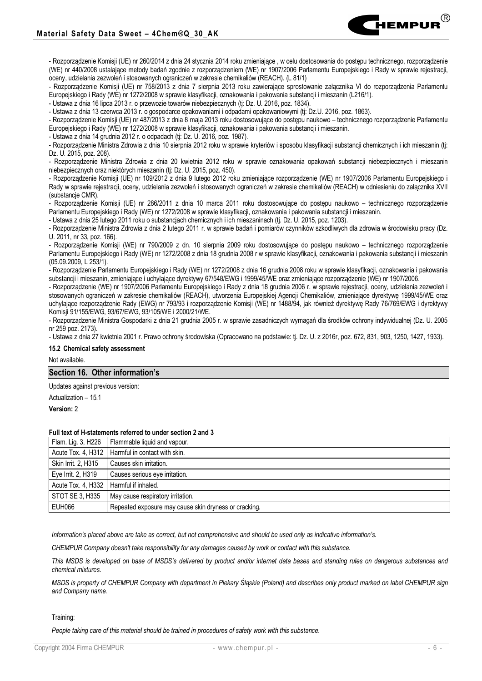

- Rozporządzenie Komisji (UE) nr 758/2013 z dnia 7 sierpnia 2013 roku zawierające sprostowanie załącznika VI do rozporządzenia Parlamentu Europejskiego i Rady (WE) nr 1272/2008 w sprawie klasyfikacji, oznakowania i pakowania substancji i mieszanin (L216/1).

- Ustawa z dnia 16 lipca 2013 r. o przewozie towarów niebezpiecznych (tj: Dz. U. 2016, poz. 1834).

- Ustawa z dnia 13 czerwca 2013 r. o gospodarce opakowaniami i odpadami opakowaniowymi (tj: Dz.U. 2016, poz. 1863).

- Rozporządzenie Komisji (UE) nr 487/2013 z dnia 8 maja 2013 roku dostosowujące do postępu naukowo – technicznego rozporządzenie Parlamentu Europejskiego i Rady (WE) nr 1272/2008 w sprawie klasyfikacji, oznakowania i pakowania substancji i mieszanin.

- Ustawa z dnia 14 grudnia 2012 r. o odpadach (tj: Dz. U. 2016, poz. 1987).

- Rozporządzenie Ministra Zdrowia z dnia 10 sierpnia 2012 roku w sprawie kryteriów i sposobu klasyfikacji substancji chemicznych i ich mieszanin (tj: Dz. U. 2015, poz. 208).

- Rozporządzenie Ministra Zdrowia z dnia 20 kwietnia 2012 roku w sprawie oznakowania opakowań substancji niebezpiecznych i mieszanin niebezpiecznych oraz niektórych mieszanin (tj: Dz. U. 2015, poz. 450).

- Rozporządzenie Komisji (UE) nr 109/2012 z dnia 9 lutego 2012 roku zmieniające rozporządzenie (WE) nr 1907/2006 Parlamentu Europejskiego i Rady w sprawie rejestracji, oceny, udzielania zezwoleń i stosowanych ograniczeń w zakresie chemikaliów (REACH) w odniesieniu do załącznika XVII (substancje CMR).

- Rozporządzenie Komisji (UE) nr 286/2011 z dnia 10 marca 2011 roku dostosowujące do postępu naukowo – technicznego rozporządzenie Parlamentu Europejskiego i Rady (WE) nr 1272/2008 w sprawie klasyfikacji, oznakowania i pakowania substancji i mieszanin.

- Ustawa z dnia 25 lutego 2011 roku o substancjach chemicznych i ich mieszaninach (tj. Dz. U. 2015, poz. 1203).

- Rozporządzenie Ministra Zdrowia z dnia 2 lutego 2011 r. w sprawie badań i pomiarów czynników szkodliwych dla zdrowia w środowisku pracy (Dz. U. 2011, nr 33, poz. 166).

- Rozporządzenie Komisji (WE) nr 790/2009 z dn. 10 sierpnia 2009 roku dostosowujące do postępu naukowo – technicznego rozporządzenie Parlamentu Europejskiego i Rady (WE) nr 1272/2008 z dnia 18 grudnia 2008 r w sprawie klasyfikacji, oznakowania i pakowania substancji i mieszanin (05.09.2009, L 253/1).

- Rozporządzenie Parlamentu Europejskiego i Rady (WE) nr 1272/2008 z dnia 16 grudnia 2008 roku w sprawie klasyfikacji, oznakowania i pakowania substancji i mieszanin, zmieniające i uchylające dyrektywy 67/548/EWG i 1999/45/WE oraz zmieniające rozporządzenie (WE) nr 1907/2006.

- Rozporządzenie (WE) nr 1907/2006 Parlamentu Europejskiego i Rady z dnia 18 grudnia 2006 r. w sprawie rejestracji, oceny, udzielania zezwoleń i stosowanych ograniczeń w zakresie chemikaliów (REACH), utworzenia Europejskiej Agencji Chemikaliów, zmieniające dyrektywę 1999/45/WE oraz uchylające rozporządzenie Rady (EWG) nr 793/93 i rozporządzenie Komisji (WE) nr 1488/94, jak również dyrektywę Rady 76/769/EWG i dyrektywy Komisji 91/155/EWG, 93/67/EWG, 93/105/WE i 2000/21/WE.

- Rozporządzenie Ministra Gospodarki z dnia 21 grudnia 2005 r. w sprawie zasadniczych wymagań dla środków ochrony indywidualnej (Dz. U. 2005 nr 259 poz. 2173).

- Ustawa z dnia 27 kwietnia 2001 r. Prawo ochrony środowiska (Opracowano na podstawie: tj. Dz. U. z 2016r, poz. 672, 831, 903, 1250, 1427, 1933).

## **15.2 Chemical safety assessment**

Not available.

### **Section 16. Other information's**

Updates against previous version:

Actualization – 15.1

**Version:** 2

#### **Full text of H-statements referred to under section 2 and 3**

|                     | Flam. Lig. 3, H226   Flammable liquid and vapour.     |
|---------------------|-------------------------------------------------------|
|                     | Acute Tox. 4, H312   Harmful in contact with skin.    |
| Skin Irrit. 2, H315 | Causes skin irritation.                               |
| Eye Irrit. 2, H319  | Causes serious eye irritation.                        |
| Acute Tox. 4, H332  | Harmful if inhaled.                                   |
| STOT SE 3, H335     | May cause respiratory irritation.                     |
| EUH066              | Repeated exposure may cause skin dryness or cracking. |

*Information's placed above are take as correct, but not comprehensive and should be used only as indicative information's.*

*CHEMPUR Company doesn't take responsibility for any damages caused by work or contact with this substance.*

*This MSDS is developed on base of MSDS's delivered by product and/or internet data bases and standing rules on dangerous substances and chemical mixtures.*

*MSDS is property of CHEMPUR Company with department in Piekary Śląskie (Poland) and describes only product marked on label CHEMPUR sign and Company name.*

#### Training:

*People taking care of this material should be trained in procedures of safety work with this substance.*

®

**H**<br>Hempur